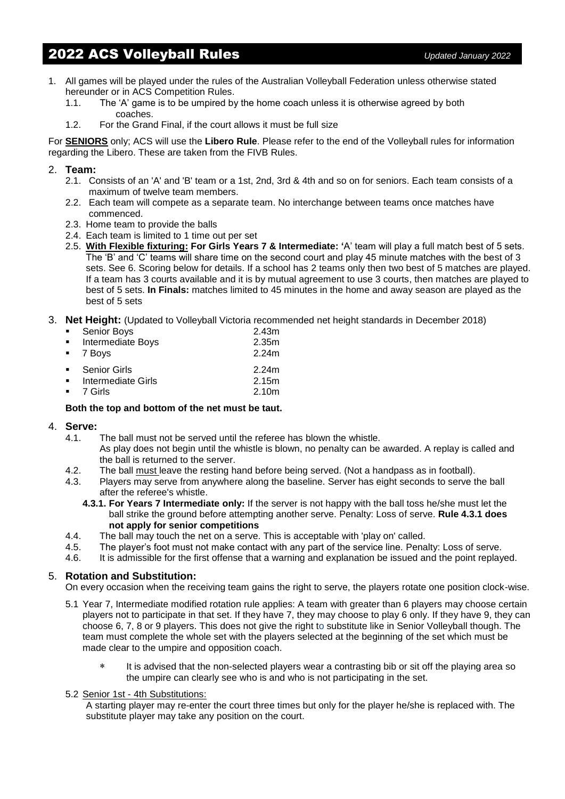# 2022 ACS Volleyball Rules *Updated January <sup>2022</sup>*

- 1. All games will be played under the rules of the Australian Volleyball Federation unless otherwise stated hereunder or in ACS Competition Rules.
	- 1.1. The 'A' game is to be umpired by the home coach unless it is otherwise agreed by both coaches.
	- 1.2. For the Grand Final, if the court allows it must be full size

For **SENIORS** only; ACS will use the **Libero Rule**. Please refer to the end of the Volleyball rules for information regarding the Libero. These are taken from the FIVB Rules.

#### 2. **Team:**

- 2.1. Consists of an 'A' and 'B' team or a 1st, 2nd, 3rd & 4th and so on for seniors. Each team consists of a maximum of twelve team members.
- 2.2. Each team will compete as a separate team. No interchange between teams once matches have commenced.
- 2.3. Home team to provide the balls
- 2.4. Each team is limited to 1 time out per set
- 2.5. **With Flexible fixturing: For Girls Years 7 & Intermediate: '**A' team will play a full match best of 5 sets. The 'B' and 'C' teams will share time on the second court and play 45 minute matches with the best of 3 sets. See 6. Scoring below for details. If a school has 2 teams only then two best of 5 matches are played. If a team has 3 courts available and it is by mutual agreement to use 3 courts, then matches are played to best of 5 sets. **In Finals:** matches limited to 45 minutes in the home and away season are played as the best of 5 sets
- 3. **Net Height:** (Updated to Volleyball Victoria recommended net height standards in December 2018)

| • Senior Boys                     | 2.43 <sub>m</sub> |
|-----------------------------------|-------------------|
| • Intermediate Boys               | 2.35m             |
| ■ 7 Boys                          | 2.24m             |
| • Senior Girls                    | 2.24m             |
| $\blacksquare$ Intermediate Girls | 2 15 <sub>m</sub> |

■ 7 Girls 2.10m

#### **Both the top and bottom of the net must be taut.**

#### 4. **Serve:**

- 4.1. The ball must not be served until the referee has blown the whistle. As play does not begin until the whistle is blown, no penalty can be awarded. A replay is called and the ball is returned to the server.
- 4.2. The ball must leave the resting hand before being served. (Not a handpass as in football).
- 4.3. Players may serve from anywhere along the baseline. Server has eight seconds to serve the ball after the referee's whistle.
	- **4.3.1. For Years 7 Intermediate only:** If the server is not happy with the ball toss he/she must let the ball strike the ground before attempting another serve. Penalty: Loss of serve. **Rule 4.3.1 does not apply for senior competitions**
- 4.4. The ball may touch the net on a serve. This is acceptable with 'play on' called.
- 4.5. The player's foot must not make contact with any part of the service line. Penalty: Loss of serve.<br>4.6. It is admissible for the first offense that a warning and explanation be issued and the point replay
- It is admissible for the first offense that a warning and explanation be issued and the point replayed.

#### 5. **Rotation and Substitution:**

On every occasion when the receiving team gains the right to serve, the players rotate one position clock-wise.

- 5.1 Year 7, Intermediate modified rotation rule applies: A team with greater than 6 players may choose certain players not to participate in that set. If they have 7, they may choose to play 6 only. If they have 9, they can choose 6, 7, 8 or 9 players. This does not give the right to substitute like in Senior Volleyball though. The team must complete the whole set with the players selected at the beginning of the set which must be made clear to the umpire and opposition coach.
	- \* It is advised that the non-selected players wear a contrasting bib or sit off the playing area so the umpire can clearly see who is and who is not participating in the set.

#### 5.2 Senior 1st - 4th Substitutions:

A starting player may re-enter the court three times but only for the player he/she is replaced with. The substitute player may take any position on the court.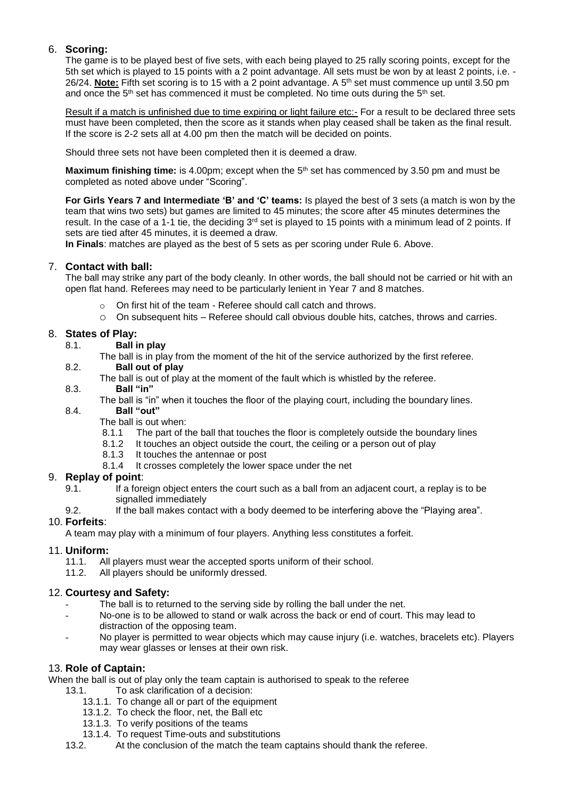# 6. **Scoring:**

The game is to be played best of five sets, with each being played to 25 rally scoring points, except for the 5th set which is played to 15 points with a 2 point advantage. All sets must be won by at least 2 points, i.e. - 26/24. **Note:** Fifth set scoring is to 15 with a 2 point advantage. A 5th set must commence up until 3.50 pm and once the  $5<sup>th</sup>$  set has commenced it must be completed. No time outs during the  $5<sup>th</sup>$  set.

Result if a match is unfinished due to time expiring or light failure etc:- For a result to be declared three sets must have been completed, then the score as it stands when play ceased shall be taken as the final result. If the score is 2-2 sets all at 4.00 pm then the match will be decided on points.

Should three sets not have been completed then it is deemed a draw.

Maximum finishing time: is 4.00pm; except when the 5<sup>th</sup> set has commenced by 3.50 pm and must be completed as noted above under "Scoring".

**For Girls Years 7 and Intermediate 'B' and 'C' teams:** Is played the best of 3 sets (a match is won by the team that wins two sets) but games are limited to 45 minutes; the score after 45 minutes determines the result. In the case of a 1-1 tie, the deciding 3<sup>rd</sup> set is played to 15 points with a minimum lead of 2 points. If sets are tied after 45 minutes, it is deemed a draw.

**In Finals**: matches are played as the best of 5 sets as per scoring under Rule 6. Above.

# 7. **Contact with ball:**

The ball may strike any part of the body cleanly. In other words, the ball should not be carried or hit with an open flat hand. Referees may need to be particularly lenient in Year 7 and 8 matches.

- o On first hit of the team Referee should call catch and throws.
- o On subsequent hits Referee should call obvious double hits, catches, throws and carries.

# 8. **States of Play:**

- 8.1. **Ball in play**
	- The ball is in play from the moment of the hit of the service authorized by the first referee.
- 8.2. **Ball out of play**
	- The ball is out of play at the moment of the fault which is whistled by the referee.
- 8.3. **Ball "in"**
	- The ball is "in" when it touches the floor of the playing court, including the boundary lines.
- 8.4. **Ball "out"**

The ball is out when:<br>8.1.1 The part of t

- The part of the ball that touches the floor is completely outside the boundary lines
- 8.1.2 It touches an object outside the court, the ceiling or a person out of play
- 8.1.3 It touches the antennae or post
- 8.1.4 It crosses completely the lower space under the net

## 9. **Replay of point**:

- 9.1. If a foreign object enters the court such as a ball from an adjacent court, a replay is to be signalled immediately
- 9.2. If the ball makes contact with a body deemed to be interfering above the "Playing area".

## 10. **Forfeits**:

A team may play with a minimum of four players. Anything less constitutes a forfeit.

## 11. **Uniform:**

- 11.1. All players must wear the accepted sports uniform of their school.
- 11.2. All players should be uniformly dressed.

## 12. **Courtesy and Safety:**

- The ball is to returned to the serving side by rolling the ball under the net.
- No-one is to be allowed to stand or walk across the back or end of court. This may lead to distraction of the opposing team.
- No player is permitted to wear objects which may cause injury (i.e. watches, bracelets etc). Players may wear glasses or lenses at their own risk.

## 13. **Role of Captain:**

When the ball is out of play only the team captain is authorised to speak to the referee

- 13.1. To ask clarification of a decision:
	- 13.1.1. To change all or part of the equipment
	- 13.1.2. To check the floor, net, the Ball etc
	- 13.1.3. To verify positions of the teams
	- 13.1.4. To request Time-outs and substitutions
- 13.2. At the conclusion of the match the team captains should thank the referee.